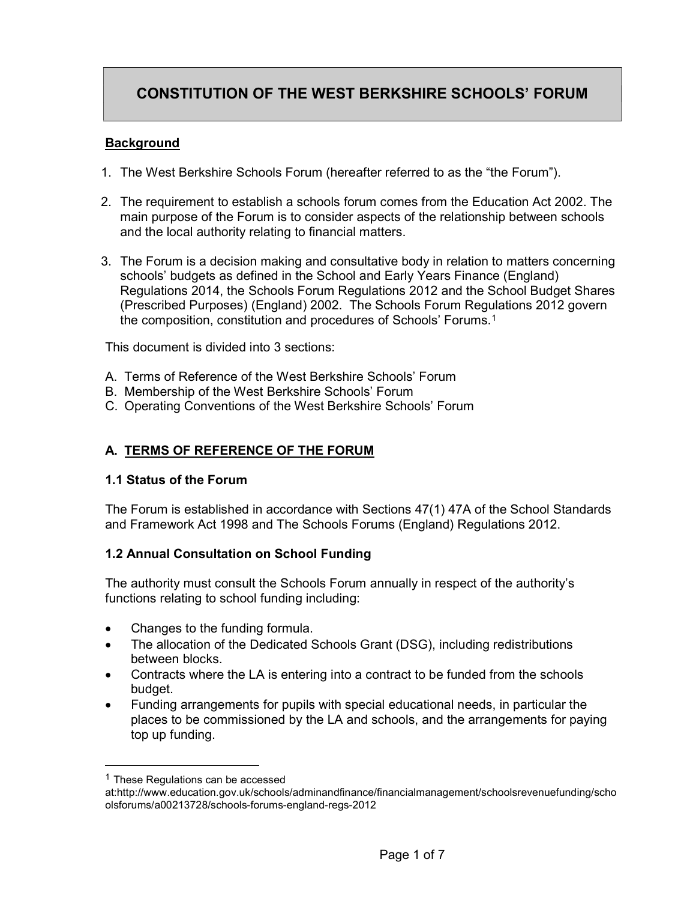# CONSTITUTION OF THE WEST BERKSHIRE SCHOOLS' FORUM

#### **Background**

- 1. The West Berkshire Schools Forum (hereafter referred to as the "the Forum").
- 2. The requirement to establish a schools forum comes from the Education Act 2002. The main purpose of the Forum is to consider aspects of the relationship between schools and the local authority relating to financial matters.
- 3. The Forum is a decision making and consultative body in relation to matters concerning schools' budgets as defined in the School and Early Years Finance (England) Regulations 2014, the Schools Forum Regulations 2012 and the School Budget Shares (Prescribed Purposes) (England) 2002. The Schools Forum Regulations 2012 govern the composition, constitution and procedures of Schools' Forums.<sup>1</sup>

This document is divided into 3 sections:

- A. Terms of Reference of the West Berkshire Schools' Forum
- B. Membership of the West Berkshire Schools' Forum
- C. Operating Conventions of the West Berkshire Schools' Forum

### A. TERMS OF REFERENCE OF THE FORUM

#### 1.1 Status of the Forum

The Forum is established in accordance with Sections 47(1) 47A of the School Standards and Framework Act 1998 and The Schools Forums (England) Regulations 2012.

#### 1.2 Annual Consultation on School Funding

The authority must consult the Schools Forum annually in respect of the authority's functions relating to school funding including:

- Changes to the funding formula.
- The allocation of the Dedicated Schools Grant (DSG), including redistributions between blocks.
- Contracts where the LA is entering into a contract to be funded from the schools budget.
- Funding arrangements for pupils with special educational needs, in particular the places to be commissioned by the LA and schools, and the arrangements for paying top up funding.

-

 $1$  These Regulations can be accessed

at:http://www.education.gov.uk/schools/adminandfinance/financialmanagement/schoolsrevenuefunding/scho olsforums/a00213728/schools-forums-england-regs-2012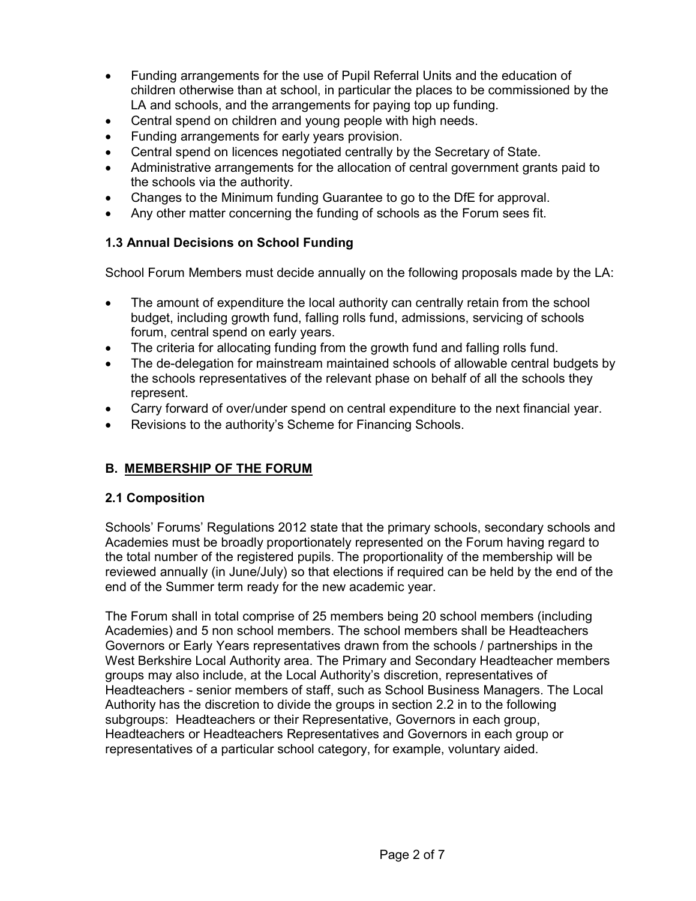- Funding arrangements for the use of Pupil Referral Units and the education of children otherwise than at school, in particular the places to be commissioned by the LA and schools, and the arrangements for paying top up funding.
- Central spend on children and young people with high needs.
- Funding arrangements for early years provision.
- Central spend on licences negotiated centrally by the Secretary of State.
- Administrative arrangements for the allocation of central government grants paid to the schools via the authority.
- Changes to the Minimum funding Guarantee to go to the DfE for approval.
- Any other matter concerning the funding of schools as the Forum sees fit.

### 1.3 Annual Decisions on School Funding

School Forum Members must decide annually on the following proposals made by the LA:

- The amount of expenditure the local authority can centrally retain from the school budget, including growth fund, falling rolls fund, admissions, servicing of schools forum, central spend on early years.
- The criteria for allocating funding from the growth fund and falling rolls fund.
- The de-delegation for mainstream maintained schools of allowable central budgets by the schools representatives of the relevant phase on behalf of all the schools they represent.
- Carry forward of over/under spend on central expenditure to the next financial year.
- Revisions to the authority's Scheme for Financing Schools.

# B. MEMBERSHIP OF THE FORUM

### 2.1 Composition

Schools' Forums' Regulations 2012 state that the primary schools, secondary schools and Academies must be broadly proportionately represented on the Forum having regard to the total number of the registered pupils. The proportionality of the membership will be reviewed annually (in June/July) so that elections if required can be held by the end of the end of the Summer term ready for the new academic year.

The Forum shall in total comprise of 25 members being 20 school members (including Academies) and 5 non school members. The school members shall be Headteachers Governors or Early Years representatives drawn from the schools / partnerships in the West Berkshire Local Authority area. The Primary and Secondary Headteacher members groups may also include, at the Local Authority's discretion, representatives of Headteachers - senior members of staff, such as School Business Managers. The Local Authority has the discretion to divide the groups in section 2.2 in to the following subgroups: Headteachers or their Representative, Governors in each group, Headteachers or Headteachers Representatives and Governors in each group or representatives of a particular school category, for example, voluntary aided.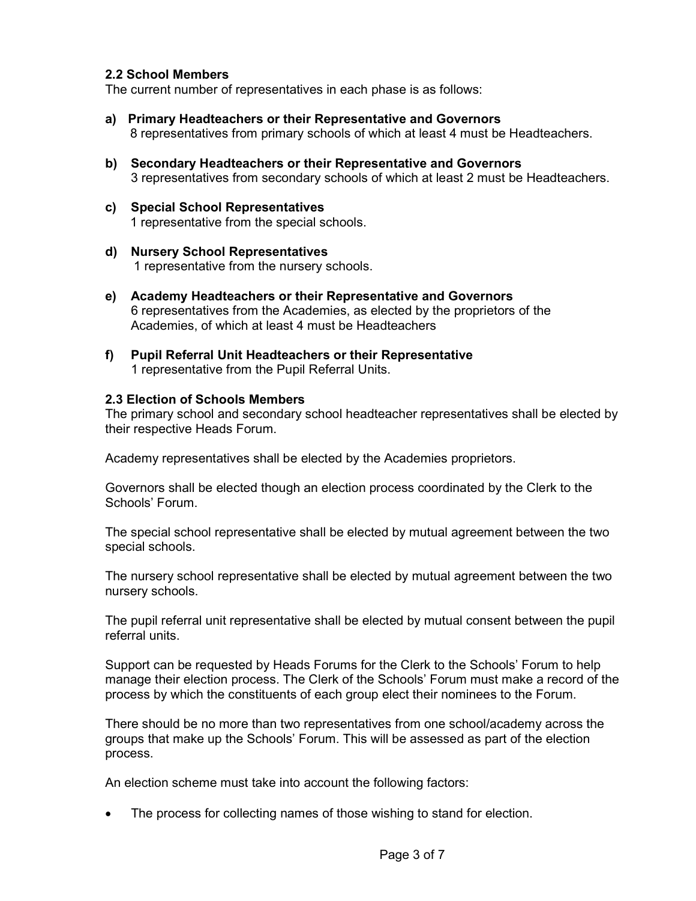#### 2.2 School Members

The current number of representatives in each phase is as follows:

- a) Primary Headteachers or their Representative and Governors 8 representatives from primary schools of which at least 4 must be Headteachers.
- b) Secondary Headteachers or their Representative and Governors 3 representatives from secondary schools of which at least 2 must be Headteachers.
- c) Special School Representatives 1 representative from the special schools.
- d) Nursery School Representatives 1 representative from the nursery schools.
- e) Academy Headteachers or their Representative and Governors 6 representatives from the Academies, as elected by the proprietors of the Academies, of which at least 4 must be Headteachers
- f) Pupil Referral Unit Headteachers or their Representative 1 representative from the Pupil Referral Units.

#### 2.3 Election of Schools Members

The primary school and secondary school headteacher representatives shall be elected by their respective Heads Forum.

Academy representatives shall be elected by the Academies proprietors.

Governors shall be elected though an election process coordinated by the Clerk to the Schools' Forum.

The special school representative shall be elected by mutual agreement between the two special schools.

The nursery school representative shall be elected by mutual agreement between the two nursery schools.

The pupil referral unit representative shall be elected by mutual consent between the pupil referral units.

Support can be requested by Heads Forums for the Clerk to the Schools' Forum to help manage their election process. The Clerk of the Schools' Forum must make a record of the process by which the constituents of each group elect their nominees to the Forum.

There should be no more than two representatives from one school/academy across the groups that make up the Schools' Forum. This will be assessed as part of the election process.

An election scheme must take into account the following factors:

The process for collecting names of those wishing to stand for election.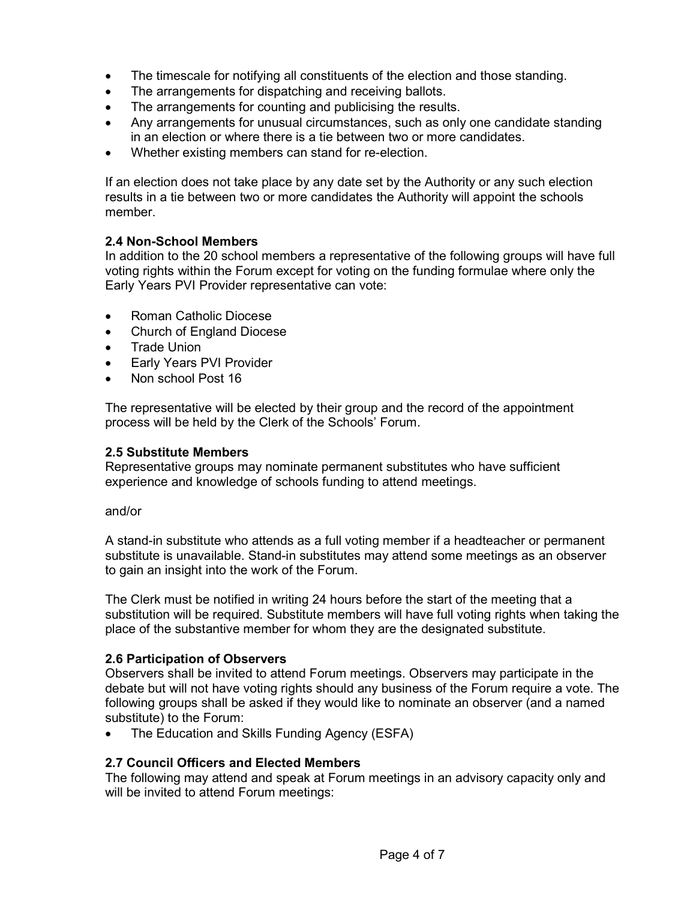- The timescale for notifying all constituents of the election and those standing.
- The arrangements for dispatching and receiving ballots.
- The arrangements for counting and publicising the results.
- Any arrangements for unusual circumstances, such as only one candidate standing in an election or where there is a tie between two or more candidates.
- Whether existing members can stand for re-election.

If an election does not take place by any date set by the Authority or any such election results in a tie between two or more candidates the Authority will appoint the schools member.

#### 2.4 Non-School Members

In addition to the 20 school members a representative of the following groups will have full voting rights within the Forum except for voting on the funding formulae where only the Early Years PVI Provider representative can vote:

- Roman Catholic Diocese
- Church of England Diocese
- Trade Union
- Early Years PVI Provider
- Non school Post 16

The representative will be elected by their group and the record of the appointment process will be held by the Clerk of the Schools' Forum.

#### 2.5 Substitute Members

Representative groups may nominate permanent substitutes who have sufficient experience and knowledge of schools funding to attend meetings.

and/or

A stand-in substitute who attends as a full voting member if a headteacher or permanent substitute is unavailable. Stand-in substitutes may attend some meetings as an observer to gain an insight into the work of the Forum.

The Clerk must be notified in writing 24 hours before the start of the meeting that a substitution will be required. Substitute members will have full voting rights when taking the place of the substantive member for whom they are the designated substitute.

#### 2.6 Participation of Observers

Observers shall be invited to attend Forum meetings. Observers may participate in the debate but will not have voting rights should any business of the Forum require a vote. The following groups shall be asked if they would like to nominate an observer (and a named substitute) to the Forum:

The Education and Skills Funding Agency (ESFA)

### 2.7 Council Officers and Elected Members

The following may attend and speak at Forum meetings in an advisory capacity only and will be invited to attend Forum meetings: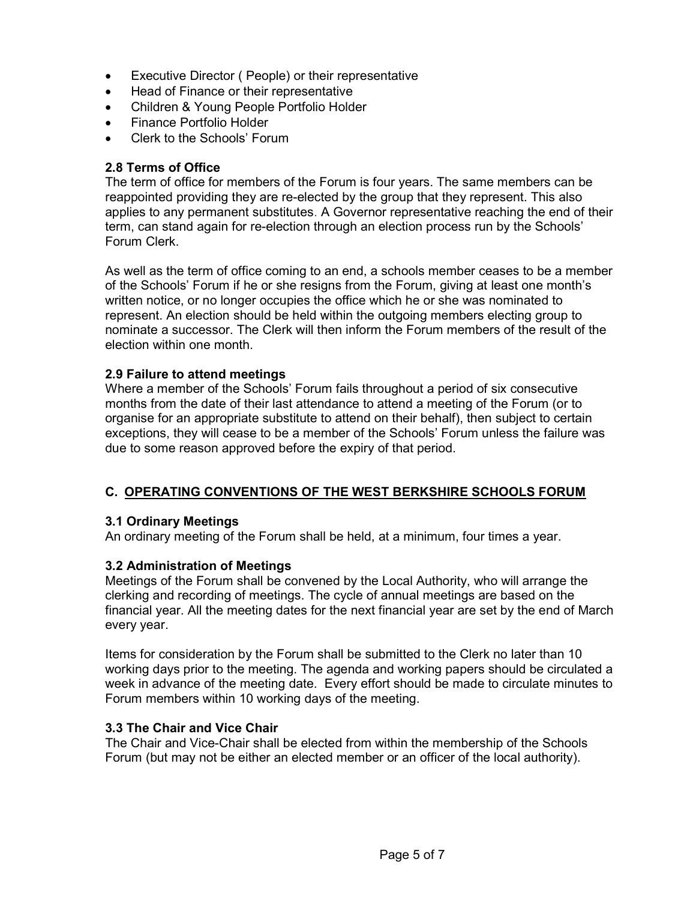- Executive Director ( People) or their representative
- Head of Finance or their representative
- Children & Young People Portfolio Holder
- Finance Portfolio Holder
- Clerk to the Schools' Forum

#### 2.8 Terms of Office

The term of office for members of the Forum is four years. The same members can be reappointed providing they are re-elected by the group that they represent. This also applies to any permanent substitutes. A Governor representative reaching the end of their term, can stand again for re-election through an election process run by the Schools' Forum Clerk.

As well as the term of office coming to an end, a schools member ceases to be a member of the Schools' Forum if he or she resigns from the Forum, giving at least one month's written notice, or no longer occupies the office which he or she was nominated to represent. An election should be held within the outgoing members electing group to nominate a successor. The Clerk will then inform the Forum members of the result of the election within one month.

#### 2.9 Failure to attend meetings

Where a member of the Schools' Forum fails throughout a period of six consecutive months from the date of their last attendance to attend a meeting of the Forum (or to organise for an appropriate substitute to attend on their behalf), then subject to certain exceptions, they will cease to be a member of the Schools' Forum unless the failure was due to some reason approved before the expiry of that period.

### C. OPERATING CONVENTIONS OF THE WEST BERKSHIRE SCHOOLS FORUM

#### 3.1 Ordinary Meetings

An ordinary meeting of the Forum shall be held, at a minimum, four times a year.

### 3.2 Administration of Meetings

Meetings of the Forum shall be convened by the Local Authority, who will arrange the clerking and recording of meetings. The cycle of annual meetings are based on the financial year. All the meeting dates for the next financial year are set by the end of March every year.

Items for consideration by the Forum shall be submitted to the Clerk no later than 10 working days prior to the meeting. The agenda and working papers should be circulated a week in advance of the meeting date. Every effort should be made to circulate minutes to Forum members within 10 working days of the meeting.

#### 3.3 The Chair and Vice Chair

The Chair and Vice-Chair shall be elected from within the membership of the Schools Forum (but may not be either an elected member or an officer of the local authority).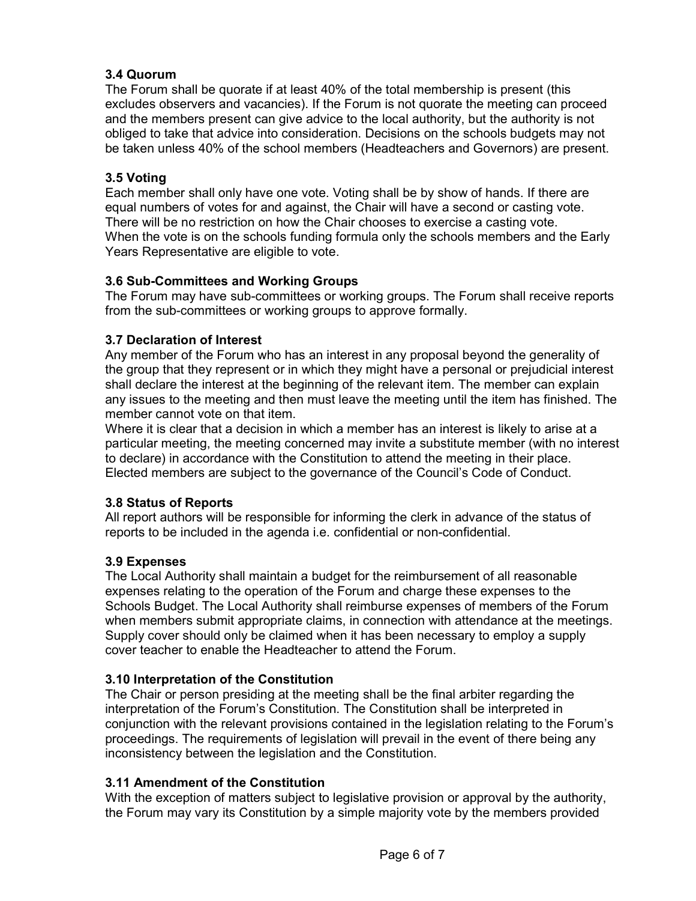### 3.4 Quorum

The Forum shall be quorate if at least 40% of the total membership is present (this excludes observers and vacancies). If the Forum is not quorate the meeting can proceed and the members present can give advice to the local authority, but the authority is not obliged to take that advice into consideration. Decisions on the schools budgets may not be taken unless 40% of the school members (Headteachers and Governors) are present.

### 3.5 Voting

Each member shall only have one vote. Voting shall be by show of hands. If there are equal numbers of votes for and against, the Chair will have a second or casting vote. There will be no restriction on how the Chair chooses to exercise a casting vote. When the vote is on the schools funding formula only the schools members and the Early Years Representative are eligible to vote.

### 3.6 Sub-Committees and Working Groups

The Forum may have sub-committees or working groups. The Forum shall receive reports from the sub-committees or working groups to approve formally.

### 3.7 Declaration of Interest

Any member of the Forum who has an interest in any proposal beyond the generality of the group that they represent or in which they might have a personal or prejudicial interest shall declare the interest at the beginning of the relevant item. The member can explain any issues to the meeting and then must leave the meeting until the item has finished. The member cannot vote on that item.

Where it is clear that a decision in which a member has an interest is likely to arise at a particular meeting, the meeting concerned may invite a substitute member (with no interest to declare) in accordance with the Constitution to attend the meeting in their place. Elected members are subject to the governance of the Council's Code of Conduct.

# 3.8 Status of Reports

All report authors will be responsible for informing the clerk in advance of the status of reports to be included in the agenda i.e. confidential or non-confidential.

### 3.9 Expenses

The Local Authority shall maintain a budget for the reimbursement of all reasonable expenses relating to the operation of the Forum and charge these expenses to the Schools Budget. The Local Authority shall reimburse expenses of members of the Forum when members submit appropriate claims, in connection with attendance at the meetings. Supply cover should only be claimed when it has been necessary to employ a supply cover teacher to enable the Headteacher to attend the Forum.

### 3.10 Interpretation of the Constitution

The Chair or person presiding at the meeting shall be the final arbiter regarding the interpretation of the Forum's Constitution. The Constitution shall be interpreted in conjunction with the relevant provisions contained in the legislation relating to the Forum's proceedings. The requirements of legislation will prevail in the event of there being any inconsistency between the legislation and the Constitution.

### 3.11 Amendment of the Constitution

With the exception of matters subject to legislative provision or approval by the authority, the Forum may vary its Constitution by a simple majority vote by the members provided